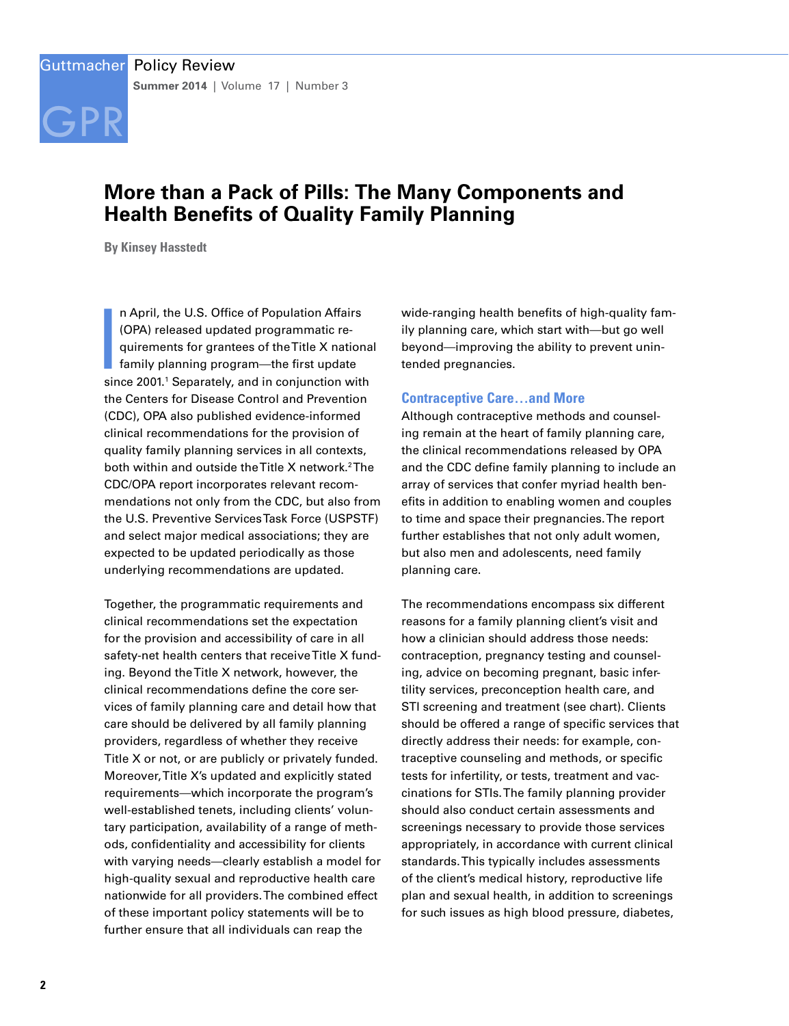

# **More than a Pack of Pills: The Many Components and Health Benefits of Quality Family Planning**

**By Kinsey Hasstedt**

**I**<br>I<br>Isin n April, the U.S. Office of Population Affairs (OPA) released updated programmatic requirements for grantees of the Title X national family planning program—the first update since 2001.<sup>1</sup> Separately, and in conjunction with the Centers for Disease Control and Prevention (CDC), OPA also published evidence-informed clinical recommendations for the provision of quality family planning services in all contexts, both within and outside the Title X network.<sup>2</sup>The CDC/OPA report incorporates relevant recommendations not only from the CDC, but also from the U.S. Preventive Services Task Force (USPSTF) and select major medical associations; they are expected to be updated periodically as those underlying recommendations are updated.

Together, the programmatic requirements and clinical recommendations set the expectation for the provision and accessibility of care in all safety-net health centers that receive Title X funding. Beyond the Title X network, however, the clinical recommendations define the core services of family planning care and detail how that care should be delivered by all family planning providers, regardless of whether they receive Title X or not, or are publicly or privately funded. Moreover, Title X's updated and explicitly stated requirements—which incorporate the program's well-established tenets, including clients' voluntary participation, availability of a range of methods, confidentiality and accessibility for clients with varying needs—clearly establish a model for high-quality sexual and reproductive health care nationwide for all providers. The combined effect of these important policy statements will be to further ensure that all individuals can reap the

wide-ranging health benefits of high-quality family planning care, which start with—but go well beyond—improving the ability to prevent unintended pregnancies.

## **Contraceptive Care…and More**

Although contraceptive methods and counseling remain at the heart of family planning care, the clinical recommendations released by OPA and the CDC define family planning to include an array of services that confer myriad health benefits in addition to enabling women and couples to time and space their pregnancies. The report further establishes that not only adult women, but also men and adolescents, need family planning care.

The recommendations encompass six different reasons for a family planning client's visit and how a clinician should address those needs: contraception, pregnancy testing and counseling, advice on becoming pregnant, basic infertility services, preconception health care, and STI screening and treatment (see chart). Clients should be offered a range of specific services that directly address their needs: for example, contraceptive counseling and methods, or specific tests for infertility, or tests, treatment and vaccinations for STIs. The family planning provider should also conduct certain assessments and screenings necessary to provide those services appropriately, in accordance with current clinical standards. This typically includes assessments of the client's medical history, reproductive life plan and sexual health, in addition to screenings for such issues as high blood pressure, diabetes,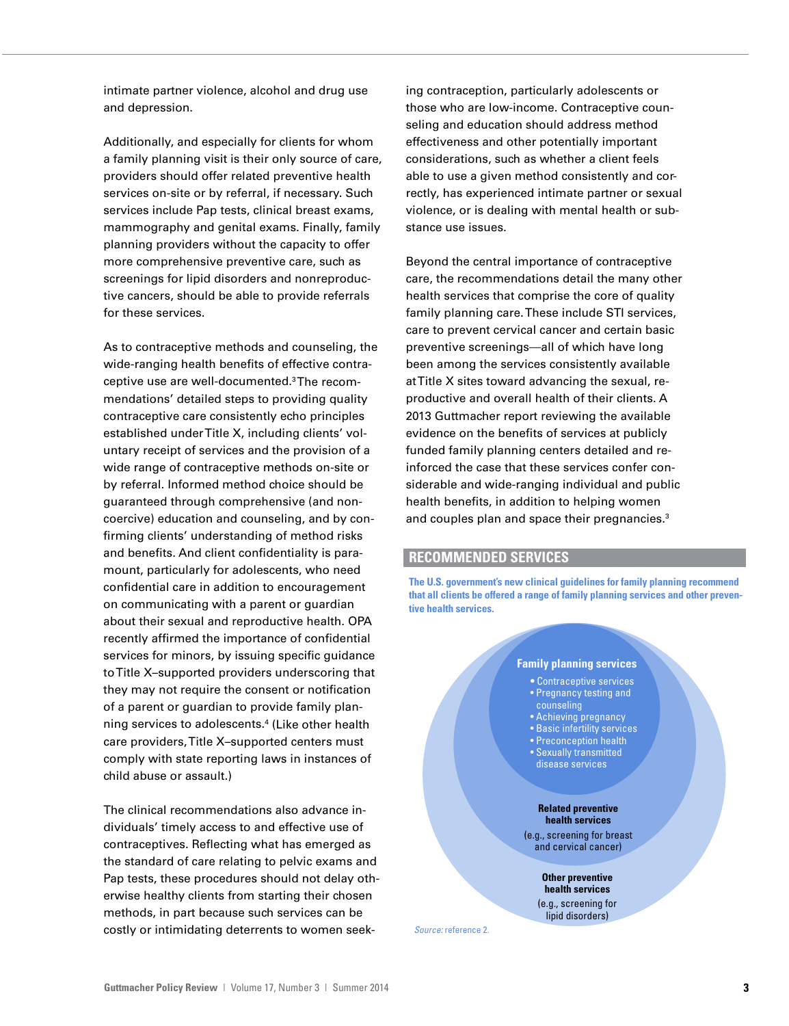intimate partner violence, alcohol and drug use and depression.

Additionally, and especially for clients for whom a family planning visit is their only source of care, providers should offer related preventive health services on-site or by referral, if necessary. Such services include Pap tests, clinical breast exams, mammography and genital exams. Finally, family planning providers without the capacity to offer more comprehensive preventive care, such as screenings for lipid disorders and nonreproductive cancers, should be able to provide referrals for these services.

As to contraceptive methods and counseling, the wide-ranging health benefits of effective contraceptive use are well-documented.3 The recommendations' detailed steps to providing quality contraceptive care consistently echo principles established under Title X, including clients' voluntary receipt of services and the provision of a wide range of contraceptive methods on-site or by referral. Informed method choice should be guaranteed through comprehensive (and noncoercive) education and counseling, and by confirming clients' understanding of method risks and benefits. And client confidentiality is paramount, particularly for adolescents, who need confidential care in addition to encouragement on communicating with a parent or guardian about their sexual and reproductive health. OPA recently affirmed the importance of confidential services for minors, by issuing specific guidance to Title X–supported providers underscoring that they may not require the consent or notification of a parent or guardian to provide family planning services to adolescents.4 (Like other health care providers, Title X–supported centers must comply with state reporting laws in instances of child abuse or assault.)

The clinical recommendations also advance individuals' timely access to and effective use of contraceptives. Reflecting what has emerged as the standard of care relating to pelvic exams and Pap tests, these procedures should not delay otherwise healthy clients from starting their chosen methods, in part because such services can be costly or intimidating deterrents to women seeking contraception, particularly adolescents or those who are low-income. Contraceptive counseling and education should address method effectiveness and other potentially important considerations, such as whether a client feels able to use a given method consistently and correctly, has experienced intimate partner or sexual violence, or is dealing with mental health or substance use issues.

Beyond the central importance of contraceptive care, the recommendations detail the many other health services that comprise the core of quality family planning care. These include STI services, care to prevent cervical cancer and certain basic preventive screenings—all of which have long been among the services consistently available at Title X sites toward advancing the sexual, reproductive and overall health of their clients. A 2013 Guttmacher report reviewing the available evidence on the benefits of services at publicly funded family planning centers detailed and reinforced the case that these services confer considerable and wide-ranging individual and public health benefits, in addition to helping women and couples plan and space their pregnancies.<sup>3</sup>

# **RECOMMENDED SERVICES**

**The U.S. government's new clinical guidelines for family planning recommend that all clients be offered a range of family planning services and other preventive health services.**

#### **Family planning services**

- Contraceptive services • Pregnancy testing and
- counseling
- Achieving pregnancy • Basic infertility services
- Preconception health
- Sexually transmitted
- disease services

#### **Related preventive health services**

(e.g., screening for breast and cervical cancer)

> **Other preventive health services** (e.g., screening for lipid disorders)

*Source:* reference 2.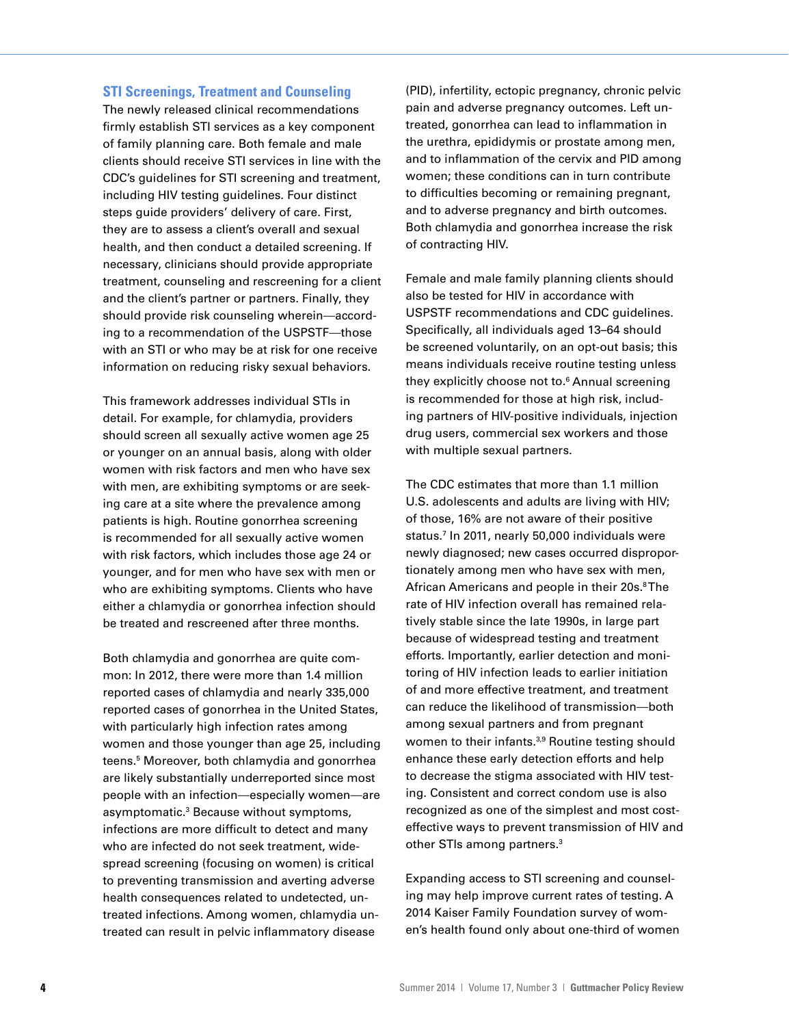#### **STI Screenings, Treatment and Counseling**

The newly released clinical recommendations firmly establish STI services as a key component of family planning care. Both female and male clients should receive STI services in line with the CDC's guidelines for STI screening and treatment, including HIV testing guidelines. Four distinct steps guide providers' delivery of care. First, they are to assess a client's overall and sexual health, and then conduct a detailed screening. If necessary, clinicians should provide appropriate treatment, counseling and rescreening for a client and the client's partner or partners. Finally, they should provide risk counseling wherein—according to a recommendation of the USPSTF—those with an STI or who may be at risk for one receive information on reducing risky sexual behaviors.

This framework addresses individual STIs in detail. For example, for chlamydia, providers should screen all sexually active women age 25 or younger on an annual basis, along with older women with risk factors and men who have sex with men, are exhibiting symptoms or are seeking care at a site where the prevalence among patients is high. Routine gonorrhea screening is recommended for all sexually active women with risk factors, which includes those age 24 or younger, and for men who have sex with men or who are exhibiting symptoms. Clients who have either a chlamydia or gonorrhea infection should be treated and rescreened after three months.

Both chlamydia and gonorrhea are quite common: In 2012, there were more than 1.4 million reported cases of chlamydia and nearly 335,000 reported cases of gonorrhea in the United States, with particularly high infection rates among women and those younger than age 25, including teens.5 Moreover, both chlamydia and gonorrhea are likely substantially underreported since most people with an infection—especially women—are asymptomatic.<sup>3</sup> Because without symptoms, infections are more difficult to detect and many who are infected do not seek treatment, widespread screening (focusing on women) is critical to preventing transmission and averting adverse health consequences related to undetected, untreated infections. Among women, chlamydia untreated can result in pelvic inflammatory disease

(PID), infertility, ectopic pregnancy, chronic pelvic pain and adverse pregnancy outcomes. Left untreated, gonorrhea can lead to inflammation in the urethra, epididymis or prostate among men, and to inflammation of the cervix and PID among women; these conditions can in turn contribute to difficulties becoming or remaining pregnant, and to adverse pregnancy and birth outcomes. Both chlamydia and gonorrhea increase the risk of contracting HIV.

Female and male family planning clients should also be tested for HIV in accordance with USPSTF recommendations and CDC guidelines. Specifically, all individuals aged 13–64 should be screened voluntarily, on an opt-out basis; this means individuals receive routine testing unless they explicitly choose not to.6 Annual screening is recommended for those at high risk, including partners of HIV-positive individuals, injection drug users, commercial sex workers and those with multiple sexual partners.

The CDC estimates that more than 1.1 million U.S. adolescents and adults are living with HIV; of those, 16% are not aware of their positive status.7 In 2011, nearly 50,000 individuals were newly diagnosed; new cases occurred disproportionately among men who have sex with men, African Americans and people in their 20s.<sup>8</sup>The rate of HIV infection overall has remained relatively stable since the late 1990s, in large part because of widespread testing and treatment efforts. Importantly, earlier detection and monitoring of HIV infection leads to earlier initiation of and more effective treatment, and treatment can reduce the likelihood of transmission—both among sexual partners and from pregnant women to their infants.<sup>3,9</sup> Routine testing should enhance these early detection efforts and help to decrease the stigma associated with HIV testing. Consistent and correct condom use is also recognized as one of the simplest and most costeffective ways to prevent transmission of HIV and other STIs among partners.3

Expanding access to STI screening and counseling may help improve current rates of testing. A 2014 Kaiser Family Foundation survey of women's health found only about one-third of women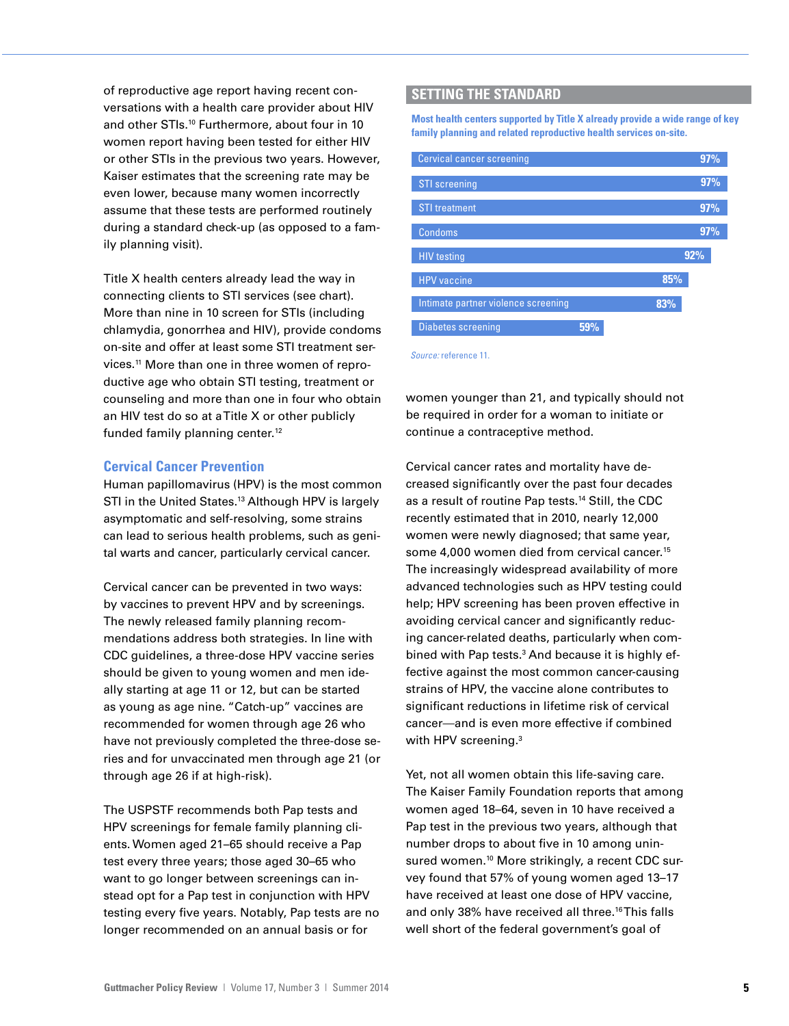of reproductive age report having recent conversations with a health care provider about HIV and other STIs.<sup>10</sup> Furthermore, about four in 10 women report having been tested for either HIV or other STIs in the previous two years. However, Kaiser estimates that the screening rate may be even lower, because many women incorrectly assume that these tests are performed routinely during a standard check-up (as opposed to a family planning visit).

Title X health centers already lead the way in connecting clients to STI services (see chart). More than nine in 10 screen for STIs (including chlamydia, gonorrhea and HIV), provide condoms on-site and offer at least some STI treatment services.11 More than one in three women of reproductive age who obtain STI testing, treatment or counseling and more than one in four who obtain an HIV test do so at a Title X or other publicly funded family planning center.<sup>12</sup>

### **Cervical Cancer Prevention**

Human papillomavirus (HPV) is the most common STI in the United States.<sup>13</sup> Although HPV is largely asymptomatic and self-resolving, some strains can lead to serious health problems, such as genital warts and cancer, particularly cervical cancer.

Cervical cancer can be prevented in two ways: by vaccines to prevent HPV and by screenings. The newly released family planning recommendations address both strategies. In line with CDC guidelines, a three-dose HPV vaccine series should be given to young women and men ideally starting at age 11 or 12, but can be started as young as age nine. "Catch-up" vaccines are recommended for women through age 26 who have not previously completed the three-dose series and for unvaccinated men through age 21 (or through age 26 if at high-risk).

The USPSTF recommends both Pap tests and HPV screenings for female family planning clients. Women aged 21–65 should receive a Pap test every three years; those aged 30–65 who want to go longer between screenings can instead opt for a Pap test in conjunction with HPV testing every five years. Notably, Pap tests are no longer recommended on an annual basis or for

### **SETTING THE STANDARD**

**Most heaIth centers supported by Title X already provide a wide range of key family planning and related reproductive health services on-site.**

0.0 0.2 0.4 0.6 0.8 1.0



*Source:* reference 11.

women younger than 21, and typically should not be required in order for a woman to initiate or continue a contraceptive method.

Cervical cancer rates and mortality have decreased significantly over the past four decades as a result of routine Pap tests.<sup>14</sup> Still, the CDC recently estimated that in 2010, nearly 12,000 women were newly diagnosed; that same year, some 4,000 women died from cervical cancer.15 The increasingly widespread availability of more advanced technologies such as HPV testing could help; HPV screening has been proven effective in avoiding cervical cancer and significantly reducing cancer-related deaths, particularly when combined with Pap tests.<sup>3</sup> And because it is highly effective against the most common cancer-causing strains of HPV, the vaccine alone contributes to significant reductions in lifetime risk of cervical cancer—and is even more effective if combined with HPV screening.<sup>3</sup>

Yet, not all women obtain this life-saving care. The Kaiser Family Foundation reports that among women aged 18–64, seven in 10 have received a Pap test in the previous two years, although that number drops to about five in 10 among uninsured women.<sup>10</sup> More strikingly, a recent CDC survey found that 57% of young women aged 13–17 have received at least one dose of HPV vaccine, and only 38% have received all three.<sup>16</sup> This falls well short of the federal government's goal of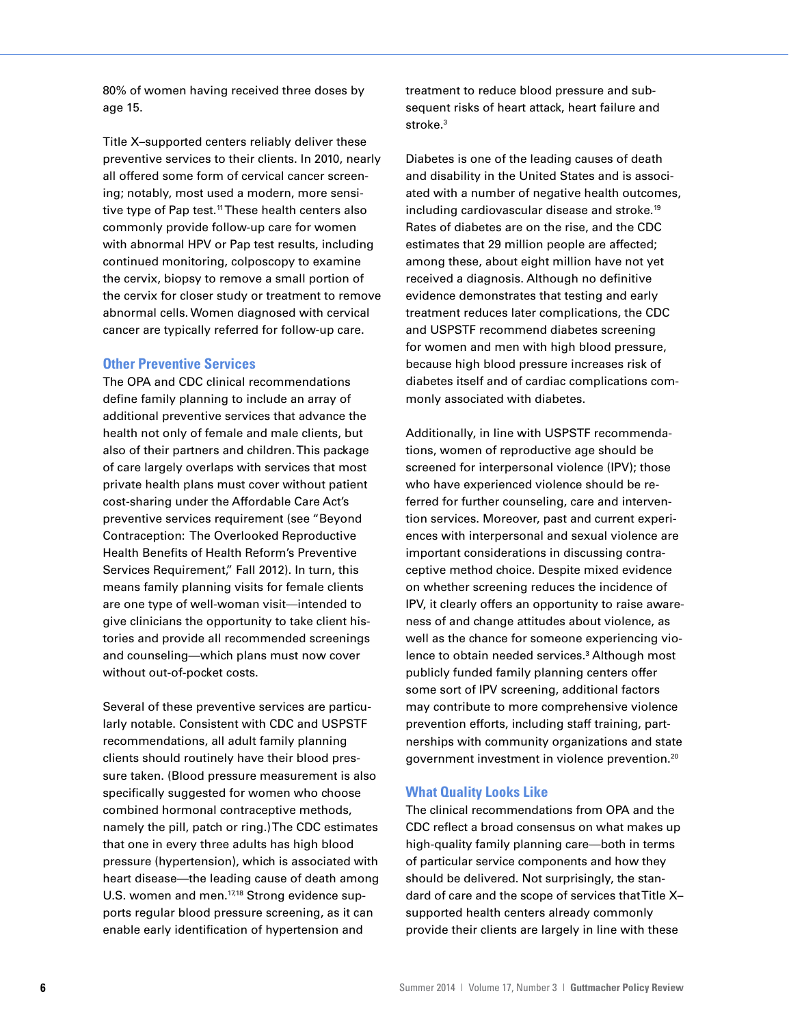80% of women having received three doses by age 15.

Title X–supported centers reliably deliver these preventive services to their clients. In 2010, nearly all offered some form of cervical cancer screening; notably, most used a modern, more sensitive type of Pap test.<sup>11</sup> These health centers also commonly provide follow-up care for women with abnormal HPV or Pap test results, including continued monitoring, colposcopy to examine the cervix, biopsy to remove a small portion of the cervix for closer study or treatment to remove abnormal cells. Women diagnosed with cervical cancer are typically referred for follow-up care.

#### **Other Preventive Services**

The OPA and CDC clinical recommendations define family planning to include an array of additional preventive services that advance the health not only of female and male clients, but also of their partners and children. This package of care largely overlaps with services that most private health plans must cover without patient cost-sharing under the Affordable Care Act's preventive services requirement (see "Beyond Contraception: The Overlooked Reproductive Health Benefits of Health Reform's Preventive Services Requirement," Fall 2012). In turn, this means family planning visits for female clients are one type of well-woman visit—intended to give clinicians the opportunity to take client histories and provide all recommended screenings and counseling—which plans must now cover without out-of-pocket costs.

Several of these preventive services are particularly notable. Consistent with CDC and USPSTF recommendations, all adult family planning clients should routinely have their blood pressure taken. (Blood pressure measurement is also specifically suggested for women who choose combined hormonal contraceptive methods, namely the pill, patch or ring.) The CDC estimates that one in every three adults has high blood pressure (hypertension), which is associated with heart disease—the leading cause of death among U.S. women and men.<sup>17,18</sup> Strong evidence supports regular blood pressure screening, as it can enable early identification of hypertension and

treatment to reduce blood pressure and subsequent risks of heart attack, heart failure and stroke.<sup>3</sup>

Diabetes is one of the leading causes of death and disability in the United States and is associated with a number of negative health outcomes, including cardiovascular disease and stroke.19 Rates of diabetes are on the rise, and the CDC estimates that 29 million people are affected; among these, about eight million have not yet received a diagnosis. Although no definitive evidence demonstrates that testing and early treatment reduces later complications, the CDC and USPSTF recommend diabetes screening for women and men with high blood pressure, because high blood pressure increases risk of diabetes itself and of cardiac complications commonly associated with diabetes.

Additionally, in line with USPSTF recommendations, women of reproductive age should be screened for interpersonal violence (IPV); those who have experienced violence should be referred for further counseling, care and intervention services. Moreover, past and current experiences with interpersonal and sexual violence are important considerations in discussing contraceptive method choice. Despite mixed evidence on whether screening reduces the incidence of IPV, it clearly offers an opportunity to raise awareness of and change attitudes about violence, as well as the chance for someone experiencing violence to obtain needed services.<sup>3</sup> Although most publicly funded family planning centers offer some sort of IPV screening, additional factors may contribute to more comprehensive violence prevention efforts, including staff training, partnerships with community organizations and state government investment in violence prevention.20

#### **What Quality Looks Like**

The clinical recommendations from OPA and the CDC reflect a broad consensus on what makes up high-quality family planning care—both in terms of particular service components and how they should be delivered. Not surprisingly, the standard of care and the scope of services that Title X– supported health centers already commonly provide their clients are largely in line with these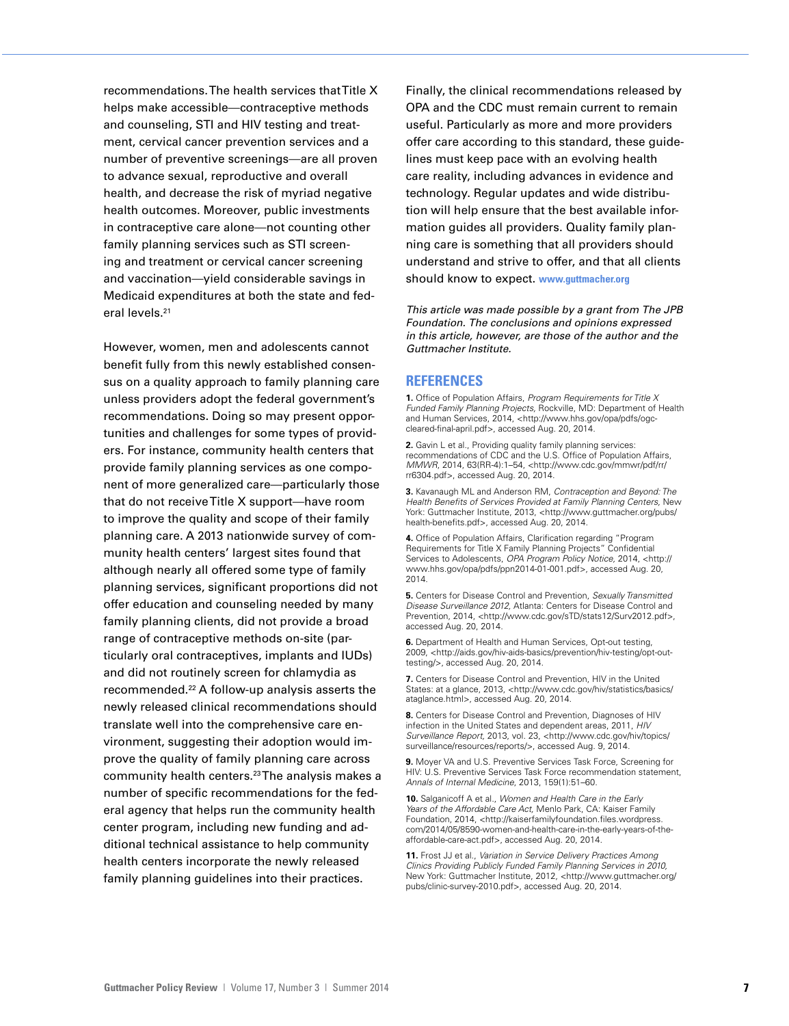recommendations. The health services that Title X helps make accessible—contraceptive methods and counseling, STI and HIV testing and treatment, cervical cancer prevention services and a number of preventive screenings—are all proven to advance sexual, reproductive and overall health, and decrease the risk of myriad negative health outcomes. Moreover, public investments in contraceptive care alone—not counting other family planning services such as STI screening and treatment or cervical cancer screening and vaccination—yield considerable savings in Medicaid expenditures at both the state and federal levels.<sup>21</sup>

However, women, men and adolescents cannot benefit fully from this newly established consensus on a quality approach to family planning care unless providers adopt the federal government's recommendations. Doing so may present opportunities and challenges for some types of providers. For instance, community health centers that provide family planning services as one component of more generalized care—particularly those that do not receive Title X support—have room to improve the quality and scope of their family planning care. A 2013 nationwide survey of community health centers' largest sites found that although nearly all offered some type of family planning services, significant proportions did not offer education and counseling needed by many family planning clients, did not provide a broad range of contraceptive methods on-site (particularly oral contraceptives, implants and IUDs) and did not routinely screen for chlamydia as recommended.22 A follow-up analysis asserts the newly released clinical recommendations should translate well into the comprehensive care environment, suggesting their adoption would improve the quality of family planning care across community health centers.23 The analysis makes a number of specific recommendations for the federal agency that helps run the community health center program, including new funding and additional technical assistance to help community health centers incorporate the newly released family planning guidelines into their practices.

Finally, the clinical recommendations released by OPA and the CDC must remain current to remain useful. Particularly as more and more providers offer care according to this standard, these guidelines must keep pace with an evolving health care reality, including advances in evidence and technology. Regular updates and wide distribution will help ensure that the best available information guides all providers. Quality family planning care is something that all providers should understand and strive to offer, and that all clients should know to expect. **www.guttmacher.org**

*This article was made possible by a grant from The JPB Foundation. The conclusions and opinions expressed in this article, however, are those of the author and the Guttmacher Institute.*

#### **REFERENCES**

**1.** Office of Population Affairs, *Program Requirements for Title X Funded Family Planning Projects,* Rockville, MD: Department of Health and Human Services, 2014, <http://www.hhs.gov/opa/pdfs/ogccleared-final-april.pdf>, accessed Aug. 20, 2014.

**2.** Gavin L et al., Providing quality family planning services: recommendations of CDC and the U.S. Office of Population Affairs, *MMWR*, 2014, 63(RR-4):1–54, <http://www.cdc.gov/mmwr/pdf/rr/ rr6304.pdf>, accessed Aug. 20, 2014.

**3.** Kavanaugh ML and Anderson RM, *Contraception and Beyond: The Health Benefits of Services Provided at Family Planning Centers,* New York: Guttmacher Institute, 2013, <http://www.guttmacher.org/pubs/ health-benefits.pdf>, accessed Aug. 20, 2014.

**4.** Office of Population Affairs, Clarification regarding "Program Requirements for Title X Family Planning Projects" Confidential Services to Adolescents, *OPA Program Policy Notice,* 2014, <http:// www.hhs.gov/opa/pdfs/ppn2014-01-001.pdf>, accessed Aug. 20, 2014.

**5.** Centers for Disease Control and Prevention, *Sexually Transmitted Disease Surveillance 2012,* Atlanta: Centers for Disease Control and Prevention, 2014, <http://www.cdc.gov/sTD/stats12/Surv2012.pdf>, accessed Aug. 20, 2014.

**6.** Department of Health and Human Services, Opt-out testing, 2009, <http://aids.gov/hiv-aids-basics/prevention/hiv-testing/opt-outtesting/>, accessed Aug. 20, 2014.

**7.** Centers for Disease Control and Prevention, HIV in the United States: at a glance, 2013, <http://www.cdc.gov/hiv/statistics/basics/ ataglance.html>, accessed Aug. 20, 2014.

**8.** Centers for Disease Control and Prevention, Diagnoses of HIV infection in the United States and dependent areas, 2011, *HIV Surveillance Report,* 2013, vol. 23, <http://www.cdc.gov/hiv/topics/ surveillance/resources/reports/>, accessed Aug. 9, 2014.

**9.** Moyer VA and U.S. Preventive Services Task Force, Screening for HIV: U.S. Preventive Services Task Force recommendation statement, *Annals of Internal Medicine*, 2013, 159(1):51–60.

**10.** Salganicoff A et al., *Women and Health Care in the Early Years of the Affordable Care Act,* Menlo Park, CA: Kaiser Family Foundation, 2014, <http://kaiserfamilyfoundation.files.wordpress. com/2014/05/8590-women-and-health-care-in-the-early-years-of-theaffordable-care-act.pdf>, accessed Aug. 20, 2014.

**11.** Frost JJ et al., *Variation in Service Delivery Practices Among Clinics Providing Publicly Funded Family Planning Services in 2010,* New York: Guttmacher Institute, 2012, <http://www.guttmacher.org/ pubs/clinic-survey-2010.pdf>, accessed Aug. 20, 2014.